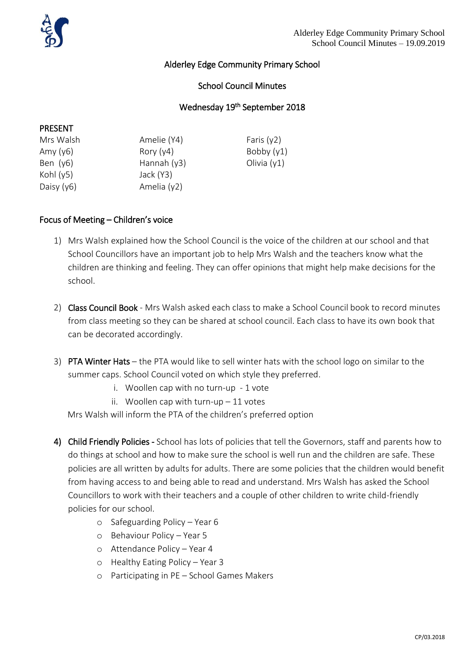# Alderley Edge Community Primary School

### School Council Minutes

## Wednesday 19<sup>th</sup> September 2018

#### PRESENT

| Mrs Walsh    | Amelie (Y4)   | Faris $(y2)$  |
|--------------|---------------|---------------|
| Amy $(y6)$   | Rory $(y4)$   | Bobby $(y1)$  |
| Ben $(y6)$   | Hannah $(y3)$ | Olivia $(y1)$ |
| Kohl $(y5)$  | Jack (Y3)     |               |
| Daisy $(y6)$ | Amelia (y2)   |               |

#### Focus of Meeting – Children's voice

- 1) Mrs Walsh explained how the School Council is the voice of the children at our school and that School Councillors have an important job to help Mrs Walsh and the teachers know what the children are thinking and feeling. They can offer opinions that might help make decisions for the school.
- 2) Class Council Book Mrs Walsh asked each class to make a School Council book to record minutes from class meeting so they can be shared at school council. Each class to have its own book that can be decorated accordingly.
- 3) PTA Winter Hats the PTA would like to sell winter hats with the school logo on similar to the summer caps. School Council voted on which style they preferred.
	- i. Woollen cap with no turn-up 1 vote
	- ii. Woollen cap with turn-up  $-11$  votes

Mrs Walsh will inform the PTA of the children's preferred option

- 4) Child Friendly Policies School has lots of policies that tell the Governors, staff and parents how to do things at school and how to make sure the school is well run and the children are safe. These policies are all written by adults for adults. There are some policies that the children would benefit from having access to and being able to read and understand. Mrs Walsh has asked the School Councillors to work with their teachers and a couple of other children to write child-friendly policies for our school.
	- o Safeguarding Policy Year 6
	- o Behaviour Policy Year 5
	- o Attendance Policy Year 4
	- o Healthy Eating Policy Year 3
	- o Participating in PE School Games Makers